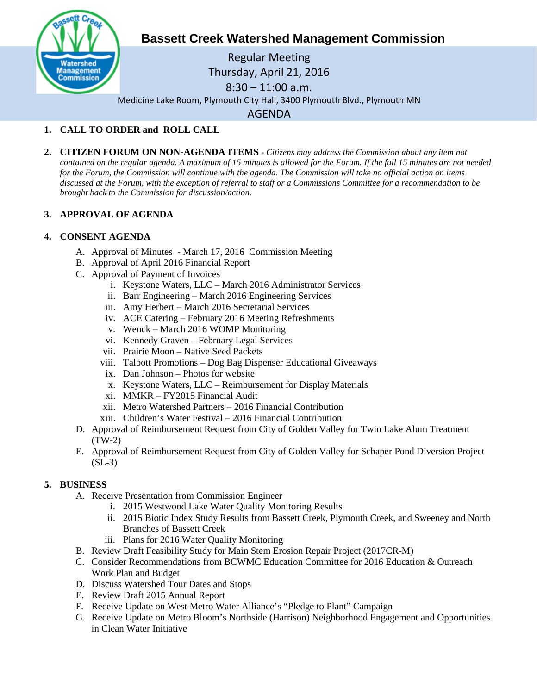

# **Bassett Creek Watershed Management Commission**

Regular Meeting Thursday, April 21, 2016  $8:30 - 11:00$  a.m. Medicine Lake Room, Plymouth City Hall, 3400 Plymouth Blvd., Plymouth MN AGENDA

# **1. CALL TO ORDER and ROLL CALL**

**2. CITIZEN FORUM ON NON-AGENDA ITEMS -** *Citizens may address the Commission about any item not contained on the regular agenda. A maximum of 15 minutes is allowed for the Forum. If the full 15 minutes are not needed for the Forum, the Commission will continue with the agenda. The Commission will take no official action on items discussed at the Forum, with the exception of referral to staff or a Commissions Committee for a recommendation to be brought back to the Commission for discussion/action.*

## **3. APPROVAL OF AGENDA**

### **4. CONSENT AGENDA**

- A. Approval of Minutes March 17, 2016 Commission Meeting
- B. Approval of April 2016 Financial Report
- C. Approval of Payment of Invoices
	- i. Keystone Waters, LLC March 2016 Administrator Services
	- ii. Barr Engineering March 2016 Engineering Services
	- iii. Amy Herbert March 2016 Secretarial Services
	- iv. ACE Catering February 2016 Meeting Refreshments
	- v. Wenck March 2016 WOMP Monitoring
	- vi. Kennedy Graven February Legal Services
	- vii. Prairie Moon Native Seed Packets
	- viii. Talbott Promotions Dog Bag Dispenser Educational Giveaways
	- ix. Dan Johnson Photos for website
	- x. Keystone Waters, LLC Reimbursement for Display Materials
	- xi. MMKR FY2015 Financial Audit
	- xii. Metro Watershed Partners 2016 Financial Contribution
	- xiii. Children's Water Festival 2016 Financial Contribution
- D. Approval of Reimbursement Request from City of Golden Valley for Twin Lake Alum Treatment (TW-2)
- E. Approval of Reimbursement Request from City of Golden Valley for Schaper Pond Diversion Project (SL-3)

#### **5. BUSINESS**

- A. Receive Presentation from Commission Engineer
	- i. 2015 Westwood Lake Water Quality Monitoring Results
	- ii. 2015 Biotic Index Study Results from Bassett Creek, Plymouth Creek, and Sweeney and North Branches of Bassett Creek
	- iii. Plans for 2016 Water Quality Monitoring
- B. Review Draft Feasibility Study for Main Stem Erosion Repair Project (2017CR-M)
- C. Consider Recommendations from BCWMC Education Committee for 2016 Education & Outreach Work Plan and Budget
- D. Discuss Watershed Tour Dates and Stops
- E. Review Draft 2015 Annual Report
- F. Receive Update on West Metro Water Alliance's "Pledge to Plant" Campaign
- G. Receive Update on Metro Bloom's Northside (Harrison) Neighborhood Engagement and Opportunities in Clean Water Initiative